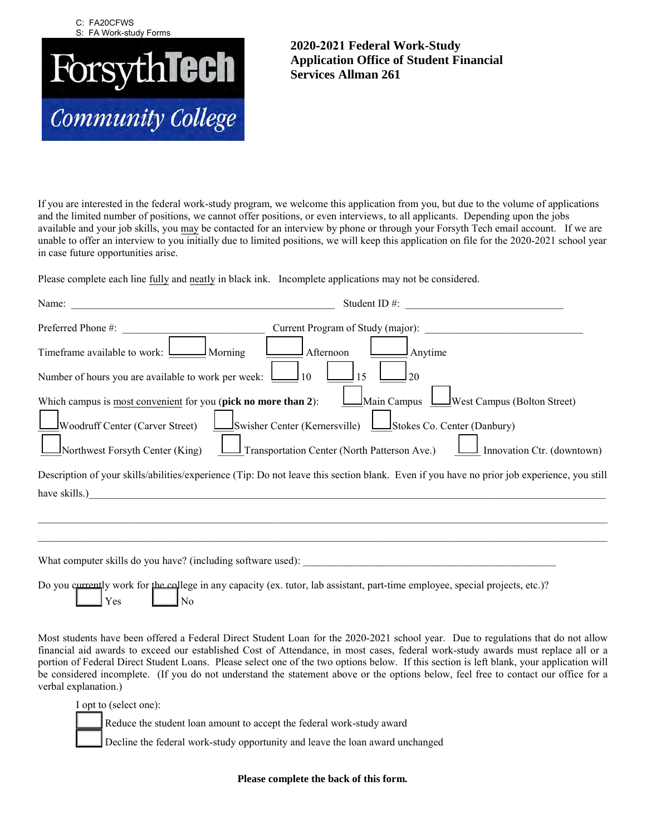

## **2020-2021 Federal Work-Study Application Office of Student Financial Services Allman 261**

If you are interested in the federal work-study program, we welcome this application from you, but due to the volume of applications and the limited number of positions, we cannot offer positions, or even interviews, to all applicants. Depending upon the jobs available and your job skills, you may be contacted for an interview by phone or through your Forsyth Tech email account. If we are unable to offer an interview to you initially due to limited positions, we will keep this application on file for the 2020-2021 school year in case future opportunities arise.

Please complete each line fully and neatly in black ink. Incomplete applications may not be considered.

| Name:                                                                                                                                | Student ID#:<br><u> 1980 - Jan James James Barbara, president e</u>                                                                                                                                                                                                                                                                |
|--------------------------------------------------------------------------------------------------------------------------------------|------------------------------------------------------------------------------------------------------------------------------------------------------------------------------------------------------------------------------------------------------------------------------------------------------------------------------------|
| Preferred Phone #:                                                                                                                   | Current Program of Study (major):                                                                                                                                                                                                                                                                                                  |
| Timeframe available to work: <u>Lace Morning</u>                                                                                     | Afternoon<br>Anytime                                                                                                                                                                                                                                                                                                               |
| Number of hours you are available to work per week: $\Box$ 10                                                                        | 15<br>20                                                                                                                                                                                                                                                                                                                           |
| Which campus is most convenient for you (pick no more than 2):<br>Woodruff Center (Carver Street)<br>Northwest Forsyth Center (King) | Main Campus Luist Campus (Bolton Street)<br>Swisher Center (Kernersville) LStokes Co. Center (Danbury)<br>Transportation Center (North Patterson Ave.)<br>Innovation Ctr. (downtown)<br>Description of your skills/abilities/experience (Tip: Do not leave this section blank. Even if you have no prior job experience, you still |
| have skills.)                                                                                                                        |                                                                                                                                                                                                                                                                                                                                    |
|                                                                                                                                      |                                                                                                                                                                                                                                                                                                                                    |
|                                                                                                                                      | What computer skills do you have? (including software used):                                                                                                                                                                                                                                                                       |
| Yes<br>No                                                                                                                            | Do you currently work for the college in any capacity (ex. tutor, lab assistant, part-time employee, special projects, etc.)?                                                                                                                                                                                                      |

Most students have been offered a Federal Direct Student Loan for the 2020-2021 school year. Due to regulations that do not allow financial aid awards to exceed our established Cost of Attendance, in most cases, federal work-study awards must replace all or a portion of Federal Direct Student Loans. Please select one of the two options below. If this section is left blank, your application will be considered incomplete. (If you do not understand the statement above or the options below, feel free to contact our office for a verbal explanation.)

I opt to (select one):

Reduce the student loan amount to accept the federal work-study award

Decline the federal work-study opportunity and leave the loan award unchanged

**Please complete the back of this form.**